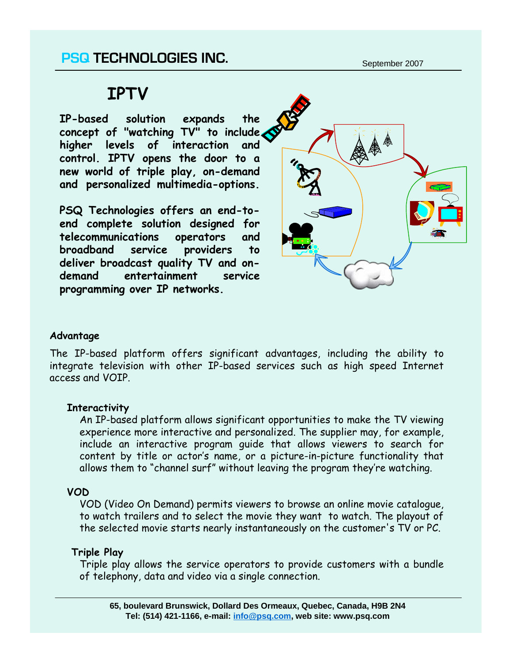# **IPTV**

**IP-based solution expands the concept of "watching TV" to include higher levels of interaction and control. IPTV opens the door to a new world of triple play, on-demand and personalized-multimedia-options.**

**PSQ Technologies offers an end-toend complete solution designed for telecommunications operators and broadband service providers to deliver broadcast quality TV and ondemand entertainment service programming over IP networks.**



## **Advantage**

The IP-based platform offers significant advantages, including the ability to integrate television with other IP-based services such as high speed Internet access and VOIP.

#### **Interactivity**

An IP-based platform allows significant opportunities to make the TV viewing experience more interactive and personalized. The supplier may, for example, include an interactive program guide that allows viewers to search for content by title or actor's name, or a picture-in-picture functionality that allows them to "channel surf" without leaving the program they're watching.

## **VOD**

VOD (Video On Demand) permits viewers to browse an online movie catalogue, to watch trailers and to select the movie they want to watch. The playout of the selected movie starts nearly instantaneously on the customer's TV or PC.

### **Triple Play**

Triple play allows the service operators to provide customers with a bundle of telephony, data and video via a single connection.